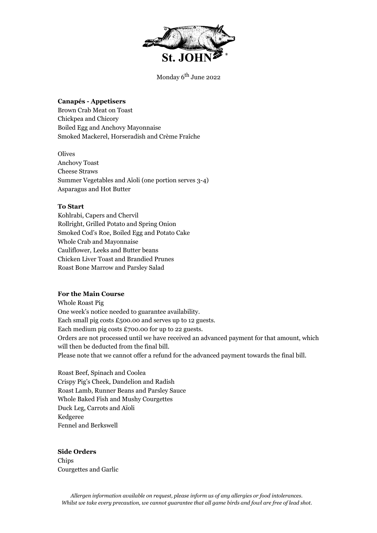

Monday 6<sup>th</sup> June 2022

## **Canapés - Appetisers**

Brown Crab Meat on Toast Chickpea and Chicory Boiled Egg and Anchovy Mayonnaise Smoked Mackerel, Horseradish and Crème Fraîche

**Olives** Anchovy Toast Cheese Straws Summer Vegetables and Aïoli (one portion serves 3-4) Asparagus and Hot Butter

### **To Start**

Kohlrabi, Capers and Chervil Rollright, Grilled Potato and Spring Onion Smoked Cod's Roe, Boiled Egg and Potato Cake Whole Crab and Mayonnaise Cauliflower, Leeks and Butter beans Chicken Liver Toast and Brandied Prunes Roast Bone Marrow and Parsley Salad

## **For the Main Course**

Whole Roast Pig One week's notice needed to guarantee availability. Each small pig costs  $£500.00$  and serves up to 12 guests. Each medium pig costs £700.00 for up to 22 guests. Orders are not processed until we have received an advanced payment for that amount, which will then be deducted from the final bill. Please note that we cannot offer a refund for the advanced payment towards the final bill.

Roast Beef, Spinach and Coolea Crispy Pig's Cheek, Dandelion and Radish Roast Lamb, Runner Beans and Parsley Sauce Whole Baked Fish and Mushy Courgettes Duck Leg, Carrots and Aïoli Kedgeree Fennel and Berkswell

## **Side Orders**

Chips Courgettes and Garlic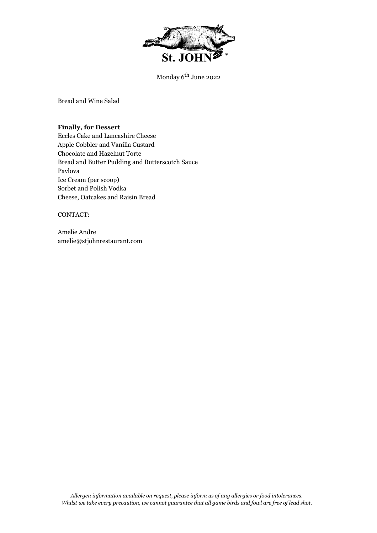

Monday 6<sup>th</sup> June 2022

Bread and Wine Salad

**Finally, for Dessert** Eccles Cake and Lancashire Cheese Apple Cobbler and Vanilla Custard Chocolate and Hazelnut Torte Bread and Butter Pudding and Butterscotch Sauce Pavlova Ice Cream (per scoop) Sorbet and Polish Vodka Cheese, Oatcakes and Raisin Bread

CONTACT:

Amelie Andre amelie@stjohnrestaurant.com